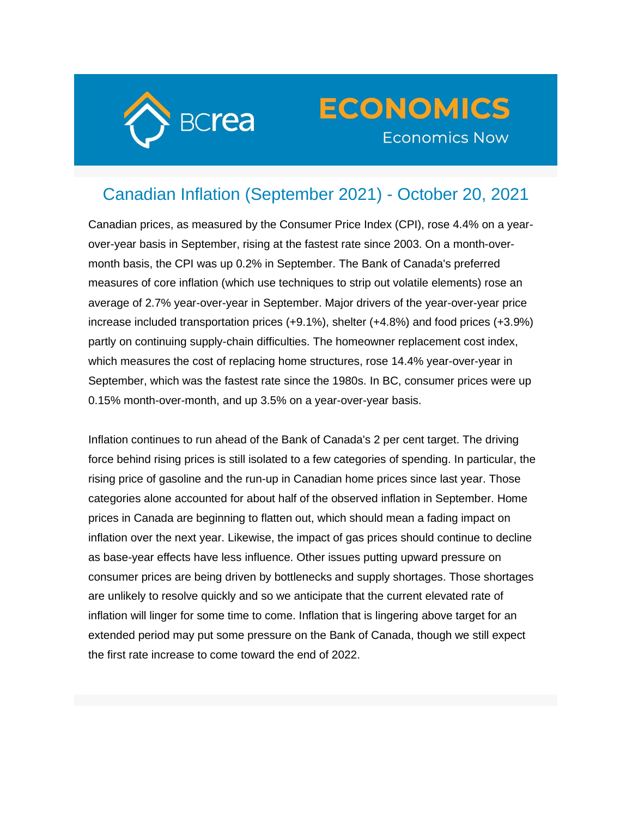

## **ECONOMICS Economics Now**

## Canadian Inflation (September 2021) - October 20, 2021

Canadian prices, as measured by the Consumer Price Index (CPI), rose 4.4% on a yearover-year basis in September, rising at the fastest rate since 2003. On a month-overmonth basis, the CPI was up 0.2% in September. The Bank of Canada's preferred measures of core inflation (which use techniques to strip out volatile elements) rose an average of 2.7% year-over-year in September. Major drivers of the year-over-year price increase included transportation prices (+9.1%), shelter (+4.8%) and food prices (+3.9%) partly on continuing supply-chain difficulties. The homeowner replacement cost index, which measures the cost of replacing home structures, rose 14.4% year-over-year in September, which was the fastest rate since the 1980s. In BC, consumer prices were up 0.15% month-over-month, and up 3.5% on a year-over-year basis.

Inflation continues to run ahead of the Bank of Canada's 2 per cent target. The driving force behind rising prices is still isolated to a few categories of spending. In particular, the rising price of gasoline and the run-up in Canadian home prices since last year. Those categories alone accounted for about half of the observed inflation in September. Home prices in Canada are beginning to flatten out, which should mean a fading impact on inflation over the next year. Likewise, the impact of gas prices should continue to decline as base-year effects have less influence. Other issues putting upward pressure on consumer prices are being driven by bottlenecks and supply shortages. Those shortages are unlikely to resolve quickly and so we anticipate that the current elevated rate of inflation will linger for some time to come. Inflation that is lingering above target for an extended period may put some pressure on the Bank of Canada, though we still expect the first rate increase to come toward the end of 2022.